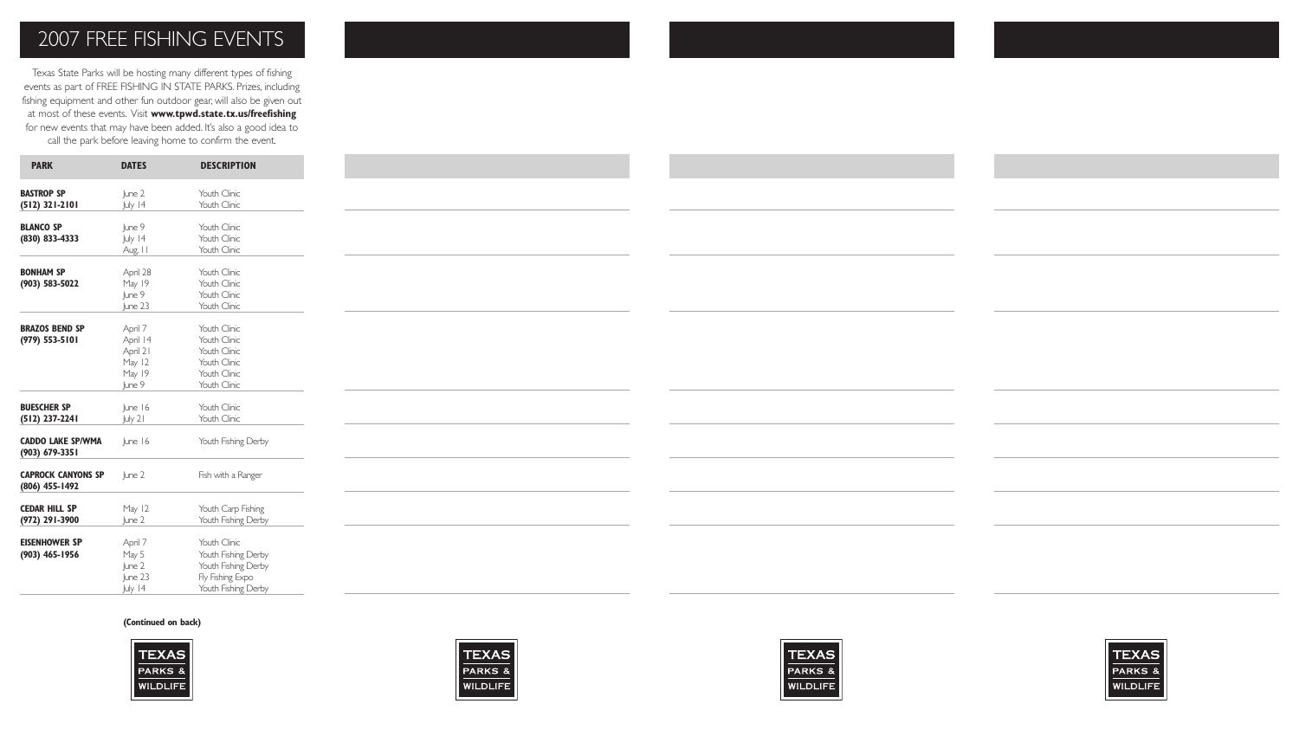## 2007 FREE FISHING EVENTS

Texas State Parks will be hosting many different types of fishing events as part of FREE FISHING IN STATE PARKS. Prizes, including fishing equipment and other fun outdoor gear, will also be given out at most of these events. Visit **www.tpwd.state.tx.us/freefishing**  for new events that may have been added. It's also a good idea to call the park before leaving home to confirm the event.

| <b>PARK</b>                                 | <b>DATES</b>                                                  | <b>DESCRIPTION</b>                                                                                    |
|---------------------------------------------|---------------------------------------------------------------|-------------------------------------------------------------------------------------------------------|
| <b>BASTROP SP</b><br>$(512)$ 321-2101       | lune 2<br>July 14                                             | Youth Clinic<br>Youth Clinic                                                                          |
| <b>BLANCO SP</b><br>(830) 833-4333          | June 9<br>July 14<br>Aug. II                                  | Youth Clinic<br>Youth Clinic<br>Youth Clinic                                                          |
| <b>BONHAM SP</b><br>(903) 583-5022          | April 28<br>May 19<br>June 9<br>lune 23                       | Youth Clinic<br>Youth Clinic<br>Youth Clinic<br>Youth Clinic                                          |
| <b>BRAZOS BEND SP</b><br>(979) 553-5101     | April 7<br>April 14<br>April 21<br>May 12<br>May 19<br>lune 9 | Youth Clinic<br>Youth Clinic<br>Youth Clinic<br>Youth Clinic<br>Youth Clinic<br>Youth Clinic          |
| <b>BUESCHER SP</b><br>$(512)$ 237-2241      | June 16<br>July 21                                            | Youth Clinic<br>Youth Clinic                                                                          |
| <b>CADDO LAKE SP/WMA</b><br>(903) 679-3351  | June 16                                                       | Youth Fishing Derby                                                                                   |
| <b>CAPROCK CANYONS SP</b><br>(806) 455-1492 | June 2                                                        | Fish with a Ranger                                                                                    |
| <b>CEDAR HILL SP</b><br>(972) 291-3900      | May 12<br>June 2                                              | Youth Carp Fishing<br>Youth Fishing Derby                                                             |
| <b>EISENHOWER SP</b><br>(903) 465-1956      | April 7<br>May 5<br>June 2<br>June 23<br>July 14              | Youth Clinic<br>Youth Fishing Derby<br>Youth Fishing Derby<br>Fly Fishing Expo<br>Youth Fishing Derby |

## **(Continued on back)**